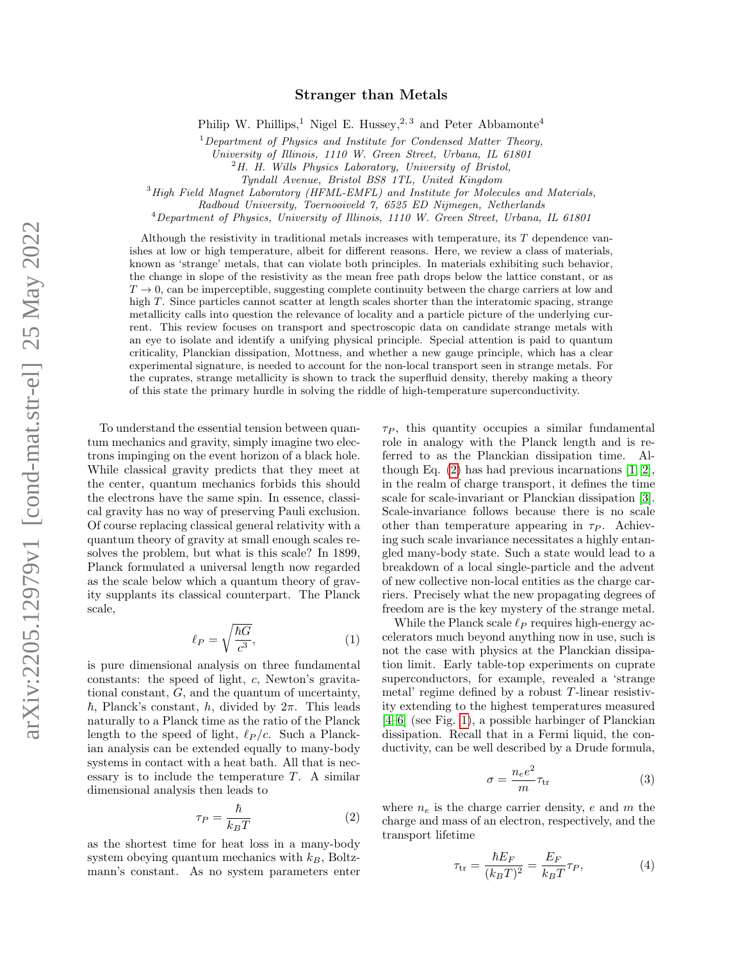# Stranger than Metals

Philip W. Phillips,<sup>1</sup> Nigel E. Hussey,<sup>2,3</sup> and Peter Abbamonte<sup>4</sup>

 $1$  Department of Physics and Institute for Condensed Matter Theory,

University of Illinois, 1110 W. Green Street, Urbana, IL 61801

 $2H$ . H. Wills Physics Laboratory, University of Bristol,

Tyndall Avenue, Bristol BS8 1TL, United Kingdom

<sup>3</sup> High Field Magnet Laboratory (HFML-EMFL) and Institute for Molecules and Materials,

Radboud University, Toernooiveld 7, 6525 ED Nijmegen, Netherlands

<sup>4</sup>Department of Physics, University of Illinois, 1110 W. Green Street, Urbana, IL 61801

Although the resistivity in traditional metals increases with temperature, its T dependence vanishes at low or high temperature, albeit for different reasons. Here, we review a class of materials, known as 'strange' metals, that can violate both principles. In materials exhibiting such behavior, the change in slope of the resistivity as the mean free path drops below the lattice constant, or as  $T \to 0$ , can be imperceptible, suggesting complete continuity between the charge carriers at low and high T. Since particles cannot scatter at length scales shorter than the interatomic spacing, strange metallicity calls into question the relevance of locality and a particle picture of the underlying current. This review focuses on transport and spectroscopic data on candidate strange metals with an eye to isolate and identify a unifying physical principle. Special attention is paid to quantum criticality, Planckian dissipation, Mottness, and whether a new gauge principle, which has a clear experimental signature, is needed to account for the non-local transport seen in strange metals. For the cuprates, strange metallicity is shown to track the superfluid density, thereby making a theory of this state the primary hurdle in solving the riddle of high-temperature superconductivity.

To understand the essential tension between quantum mechanics and gravity, simply imagine two electrons impinging on the event horizon of a black hole. While classical gravity predicts that they meet at the center, quantum mechanics forbids this should the electrons have the same spin. In essence, classical gravity has no way of preserving Pauli exclusion. Of course replacing classical general relativity with a quantum theory of gravity at small enough scales resolves the problem, but what is this scale? In 1899, Planck formulated a universal length now regarded as the scale below which a quantum theory of gravity supplants its classical counterpart. The Planck scale,

$$
\ell_P = \sqrt{\frac{\hbar G}{c^3}},\tag{1}
$$

is pure dimensional analysis on three fundamental constants: the speed of light, c, Newton's gravitational constant, G, and the quantum of uncertainty,  $\hbar$ , Planck's constant, h, divided by  $2\pi$ . This leads naturally to a Planck time as the ratio of the Planck length to the speed of light,  $\ell_P /c$ . Such a Planckian analysis can be extended equally to many-body systems in contact with a heat bath. All that is necessary is to include the temperature  $T$ . A similar dimensional analysis then leads to

<span id="page-0-0"></span>
$$
\tau_P = \frac{\hbar}{k_B T} \tag{2}
$$

as the shortest time for heat loss in a many-body system obeying quantum mechanics with  $k_B$ , Boltzmann's constant. As no system parameters enter

 $\tau_P$ , this quantity occupies a similar fundamental role in analogy with the Planck length and is referred to as the Planckian dissipation time. Although Eq.  $(2)$  has had previous incarnations  $[1, 2]$  $[1, 2]$ , in the realm of charge transport, it defines the time scale for scale-invariant or Planckian dissipation [\[3\]](#page-10-2). Scale-invariance follows because there is no scale other than temperature appearing in  $\tau_P$ . Achieving such scale invariance necessitates a highly entangled many-body state. Such a state would lead to a breakdown of a local single-particle and the advent of new collective non-local entities as the charge carriers. Precisely what the new propagating degrees of freedom are is the key mystery of the strange metal.

While the Planck scale  $\ell_P$  requires high-energy accelerators much beyond anything now in use, such is not the case with physics at the Planckian dissipation limit. Early table-top experiments on cuprate superconductors, for example, revealed a 'strange metal' regime defined by a robust  $T$ -linear resistivity extending to the highest temperatures measured [\[4–](#page-10-3)[6\]](#page-10-4) (see Fig. [1\)](#page-1-0), a possible harbinger of Planckian dissipation. Recall that in a Fermi liquid, the conductivity, can be well described by a Drude formula,

$$
\sigma = \frac{n_e e^2}{m} \tau_{\rm tr} \tag{3}
$$

where  $n_e$  is the charge carrier density, e and m the charge and mass of an electron, respectively, and the transport lifetime

$$
\tau_{\rm tr} = \frac{\hbar E_F}{(k_B T)^2} = \frac{E_F}{k_B T} \tau_P,\tag{4}
$$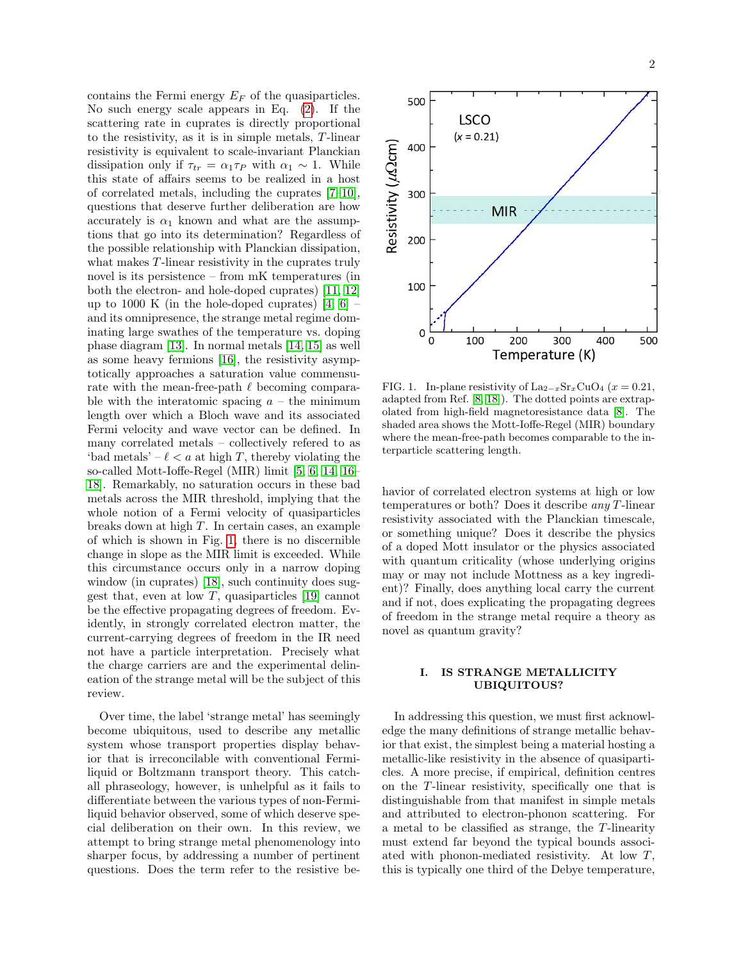contains the Fermi energy  $E_F$  of the quasiparticles. No such energy scale appears in Eq. [\(2\)](#page-0-0). If the scattering rate in cuprates is directly proportional to the resistivity, as it is in simple metals, T-linear resistivity is equivalent to scale-invariant Planckian dissipation only if  $\tau_{tr} = \alpha_1 \tau_P$  with  $\alpha_1 \sim 1$ . While this state of affairs seems to be realized in a host of correlated metals, including the cuprates [\[7–](#page-10-5)[10\]](#page-10-6), questions that deserve further deliberation are how accurately is  $\alpha_1$  known and what are the assumptions that go into its determination? Regardless of the possible relationship with Planckian dissipation, what makes T-linear resistivity in the cuprates truly novel is its persistence – from mK temperatures (in both the electron- and hole-doped cuprates) [\[11,](#page-10-7) [12\]](#page-10-8) up to 1000 K (in the hole-doped cuprates)  $[4, 6]$  $[4, 6]$  – and its omnipresence, the strange metal regime dominating large swathes of the temperature vs. doping phase diagram [\[13\]](#page-10-9). In normal metals [\[14,](#page-10-10) [15\]](#page-10-11) as well as some heavy fermions [\[16\]](#page-10-12), the resistivity asymptotically approaches a saturation value commensurate with the mean-free-path  $\ell$  becoming comparable with the interatomic spacing  $a -$  the minimum length over which a Bloch wave and its associated Fermi velocity and wave vector can be defined. In many correlated metals – collectively refered to as 'bad metals' –  $\ell < a$  at high T, thereby violating the so-called Mott-Ioffe-Regel (MIR) limit [\[5,](#page-10-13) [6,](#page-10-4) [14,](#page-10-10) [16–](#page-10-12) [18\]](#page-10-14). Remarkably, no saturation occurs in these bad metals across the MIR threshold, implying that the whole notion of a Fermi velocity of quasiparticles breaks down at high T. In certain cases, an example of which is shown in Fig. [1,](#page-1-0) there is no discernible change in slope as the MIR limit is exceeded. While this circumstance occurs only in a narrow doping window (in cuprates) [\[18\]](#page-10-14), such continuity does suggest that, even at low  $T$ , quasiparticles [\[19\]](#page-10-15) cannot be the effective propagating degrees of freedom. Evidently, in strongly correlated electron matter, the current-carrying degrees of freedom in the IR need not have a particle interpretation. Precisely what the charge carriers are and the experimental delineation of the strange metal will be the subject of this review.

Over time, the label 'strange metal' has seemingly become ubiquitous, used to describe any metallic system whose transport properties display behavior that is irreconcilable with conventional Fermiliquid or Boltzmann transport theory. This catchall phraseology, however, is unhelpful as it fails to differentiate between the various types of non-Fermiliquid behavior observed, some of which deserve special deliberation on their own. In this review, we attempt to bring strange metal phenomenology into sharper focus, by addressing a number of pertinent questions. Does the term refer to the resistive be-



<span id="page-1-0"></span>FIG. 1. In-plane resistivity of La<sub>2−x</sub>Sr<sub>x</sub>CuO<sub>4</sub> (x = 0.21, adapted from Ref. [\[8,](#page-10-16) [18\]](#page-10-14)). The dotted points are extrapolated from high-field magnetoresistance data [\[8\]](#page-10-16). The shaded area shows the Mott-Ioffe-Regel (MIR) boundary where the mean-free-path becomes comparable to the interparticle scattering length.

havior of correlated electron systems at high or low temperatures or both? Does it describe any T-linear resistivity associated with the Planckian timescale, or something unique? Does it describe the physics of a doped Mott insulator or the physics associated with quantum criticality (whose underlying origins may or may not include Mottness as a key ingredient)? Finally, does anything local carry the current and if not, does explicating the propagating degrees of freedom in the strange metal require a theory as novel as quantum gravity?

## I. IS STRANGE METALLICITY UBIQUITOUS?

In addressing this question, we must first acknowledge the many definitions of strange metallic behavior that exist, the simplest being a material hosting a metallic-like resistivity in the absence of quasiparticles. A more precise, if empirical, definition centres on the T-linear resistivity, specifically one that is distinguishable from that manifest in simple metals and attributed to electron-phonon scattering. For a metal to be classified as strange, the T-linearity must extend far beyond the typical bounds associated with phonon-mediated resistivity. At low T, this is typically one third of the Debye temperature,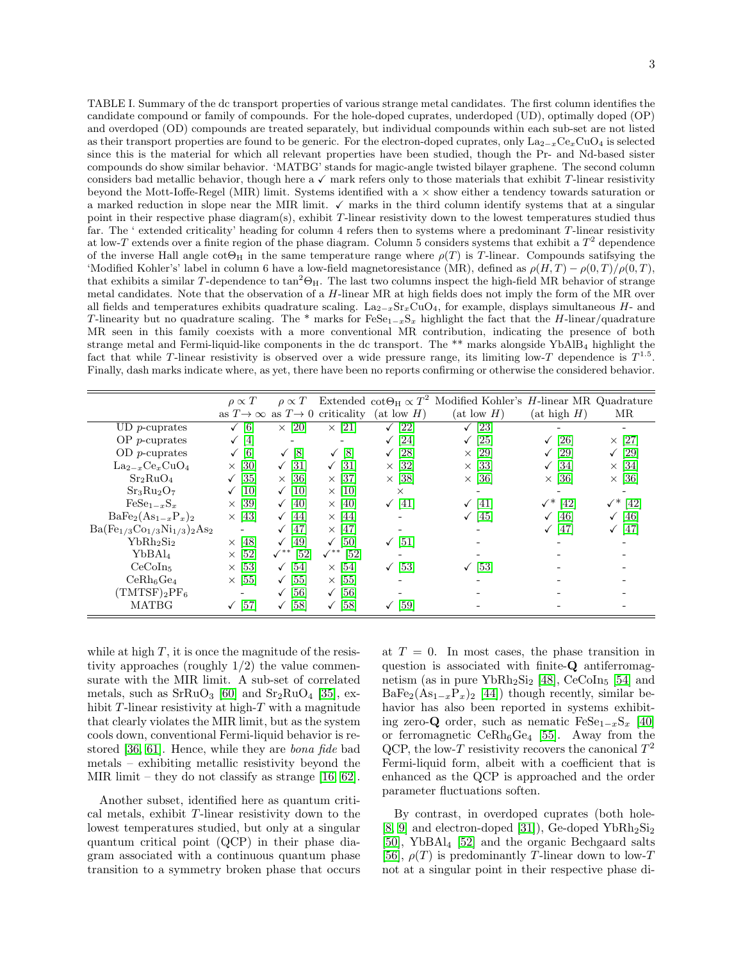<span id="page-2-0"></span>TABLE I. Summary of the dc transport properties of various strange metal candidates. The first column identifies the candidate compound or family of compounds. For the hole-doped cuprates, underdoped (UD), optimally doped (OP) and overdoped (OD) compounds are treated separately, but individual compounds within each sub-set are not listed as their transport properties are found to be generic. For the electron-doped cuprates, only La<sub>2−x</sub>Ce<sub>x</sub>CuO<sub>4</sub> is selected since this is the material for which all relevant properties have been studied, though the Pr- and Nd-based sister compounds do show similar behavior. 'MATBG' stands for magic-angle twisted bilayer graphene. The second column considers bad metallic behavior, though here a  $\checkmark$  mark refers only to those materials that exhibit T-linear resistivity beyond the Mott-Ioffe-Regel (MIR) limit. Systems identified with  $a \times$  show either a tendency towards saturation or a marked reduction in slope near the MIR limit.  $\checkmark$  marks in the third column identify systems that at a singular point in their respective phase diagram(s), exhibit T-linear resistivity down to the lowest temperatures studied thus far. The ' extended criticality' heading for column 4 refers then to systems where a predominant T-linear resistivity at low-T extends over a finite region of the phase diagram. Column 5 considers systems that exhibit a  $T^2$  dependence of the inverse Hall angle  $\cot\Theta_H$  in the same temperature range where  $\rho(T)$  is T-linear. Compounds satifsying the 'Modified Kohler's' label in column 6 have a low-field magnetoresistance (MR), defined as  $\rho(H,T) - \rho(0,T)/\rho(0,T)$ , that exhibits a similar T-dependence to  $\tan^2\Theta_H$ . The last two columns inspect the high-field MR behavior of strange metal candidates. Note that the observation of a H-linear MR at high fields does not imply the form of the MR over all fields and temperatures exhibits quadrature scaling.  $\text{La}_{2-x}\text{Sr}_x\text{CuO}_4$ , for example, displays simultaneous H- and T-linearity but no quadrature scaling. The \* marks for  $F \in S_{e_1-x} S_x$  highlight the fact that the H-linear/quadrature MR seen in this family coexists with a more conventional MR contribution, indicating the presence of both strange metal and Fermi-liquid-like components in the dc transport. The \*\* marks alongside YbAlB<sup>4</sup> highlight the fact that while T-linear resistivity is observed over a wide pressure range, its limiting low-T dependence is  $T^{1.5}$ . Finally, dash marks indicate where, as yet, there have been no reports confirming or otherwise the considered behavior.

|                                          | $\rho \propto T$              | $\rho \propto T$                       |                                                         |                      | Extended $\cot\Theta_H \propto T^2$ Modified Kohler's <i>H</i> -linear MR Quadrature |                        |                        |
|------------------------------------------|-------------------------------|----------------------------------------|---------------------------------------------------------|----------------------|--------------------------------------------------------------------------------------|------------------------|------------------------|
|                                          |                               |                                        | as $T\rightarrow\infty$ as $T\rightarrow 0$ criticality | $(at \, low \, H)$   | $(at \, low \, H)$                                                                   | $(at\ high\ H)$        | MR                     |
| $UD$ <i>p</i> -cuprates                  | $\lceil 6 \rceil$             | $\times$ [20]                          | $\times$ [21]                                           | [22]                 | [23]                                                                                 |                        |                        |
| $OP$ <i>p</i> -cuprates                  | $\vert 4 \vert$               |                                        |                                                         | [24]                 | $\left[ 25\right]$                                                                   | [26]<br>$\checkmark$   | $\times$ [27]          |
| $OD$ <i>p</i> -cuprates                  | [6]                           | $\lceil 8 \rceil$<br>$\checkmark$      | $\left[8\right]$<br>✓                                   | [28]                 | [29]<br>$\times$                                                                     | [29]                   | [29]                   |
| $\text{La}_{2-x}\text{Ce}_x\text{CuO}_4$ | $\left[30\right]$<br>$\times$ | [31]                                   | $\left[31\right]$                                       | $\times$ [32]        | $[33]$<br>$\times$                                                                   | [34]                   | $\times$ [34]          |
| Sr <sub>2</sub> RuO <sub>4</sub>         | $\left[35\right]$             | $\times$ [36]                          | $\times$ [37]                                           | $\times$ [38]        | $\times$ [36]                                                                        | $\times$ [36]          | $\times$ [36]          |
| $Sr_3Ru_2O_7$                            | 10                            | <b>10</b><br>$\checkmark$              | $\times$ [10]                                           | $\times$             |                                                                                      |                        |                        |
| $FeSe_{1-x}S_x$                          | $\left[39\right]$<br>$\times$ | [40]<br>$\checkmark$                   | $\times$ 40                                             | $\sqrt{41}$          | [41]                                                                                 | $\checkmark^*$<br>[42] | $\checkmark^*$<br>[42] |
| $BaFe2(As1-xPx)2$                        | $\times$ [43]                 | 44                                     | $\times$ [44]                                           |                      | [45]                                                                                 | [46]                   | <sup>[46]</sup><br>✓   |
| $Ba(Fe_{1/3}Co_{1/3}Ni_{1/3})_2As_2$     |                               | [47]                                   | $\times$ [47]                                           |                      |                                                                                      | 47                     | 47                     |
| YbRh <sub>2</sub> Si <sub>2</sub>        | $\times$ [48]                 | $\sqrt{49}$                            | $\sqrt{50}$                                             | $\sqrt{51}$          |                                                                                      |                        |                        |
| YbBAl <sub>4</sub>                       | [52]<br>$\times$              | $\left[52\right]$<br>$\checkmark^{**}$ | $\left[52\right]$<br>$\checkmark^{**}$                  |                      |                                                                                      |                        |                        |
| CeCoIn <sub>5</sub>                      | [53]<br>$\times$              | [54]                                   | $\times$ [54]                                           | $\sqrt{53}$          | $\left[53\right]$                                                                    |                        |                        |
| CeRh <sub>6</sub> Ge <sub>4</sub>        | [55]<br>$\times$              | [55]                                   | $\times$ [55]                                           |                      |                                                                                      |                        |                        |
| $(TMTSF)_2PF_6$                          | -                             | [56]                                   | $\sqrt{56}$                                             |                      |                                                                                      |                        |                        |
| <b>MATBG</b>                             | [57]                          | [58]                                   | [58]<br>$\checkmark$                                    | [59]<br>$\checkmark$ |                                                                                      |                        |                        |

while at high  $T$ , it is once the magnitude of the resistivity approaches (roughly  $1/2$ ) the value commensurate with the MIR limit. A sub-set of correlated metals, such as  $SrRuO<sub>3</sub>$  [\[60\]](#page-11-38) and  $Sr<sub>2</sub>RuO<sub>4</sub>$  [\[35\]](#page-11-13), exhibit  $T$ -linear resistivity at high- $T$  with a magnitude that clearly violates the MIR limit, but as the system cools down, conventional Fermi-liquid behavior is restored [\[36,](#page-11-14) [61\]](#page-11-39). Hence, while they are bona fide bad metals – exhibiting metallic resistivity beyond the MIR limit – they do not classify as strange [\[16,](#page-10-12) [62\]](#page-11-40).

Another subset, identified here as quantum critical metals, exhibit T-linear resistivity down to the lowest temperatures studied, but only at a singular quantum critical point (QCP) in their phase diagram associated with a continuous quantum phase transition to a symmetry broken phase that occurs at  $T = 0$ . In most cases, the phase transition in question is associated with finite-Q antiferromagnetism (as in pure Yb $Rh_2Si_2$  [\[48\]](#page-11-26),  $CeCoIn_5$  [\[54\]](#page-11-32) and  $BaFe<sub>2</sub>(As<sub>1-x</sub>P<sub>x</sub>)<sub>2</sub>$  [\[44\]](#page-11-22)) though recently, similar behavior has also been reported in systems exhibiting zero-**Q** order, such as nematic  $\text{FeSe}_{1-x}\text{S}_x$  [\[40\]](#page-11-18) or ferromagnetic  $CeRh<sub>6</sub>Ge<sub>4</sub>$  [\[55\]](#page-11-33). Away from the QCP, the low-T resistivity recovers the canonical  $T^2$ Fermi-liquid form, albeit with a coefficient that is enhanced as the QCP is approached and the order parameter fluctuations soften.

By contrast, in overdoped cuprates (both hole- [\[8,](#page-10-16) [9\]](#page-10-19) and electron-doped [\[31\]](#page-11-9)), Ge-doped  $YbRh<sub>2</sub>Si<sub>2</sub>$ [\[50\]](#page-11-28), YbBAl<sup>4</sup> [\[52\]](#page-11-30) and the organic Bechgaard salts [\[56\]](#page-11-34),  $\rho(T)$  is predominantly T-linear down to low-T not at a singular point in their respective phase di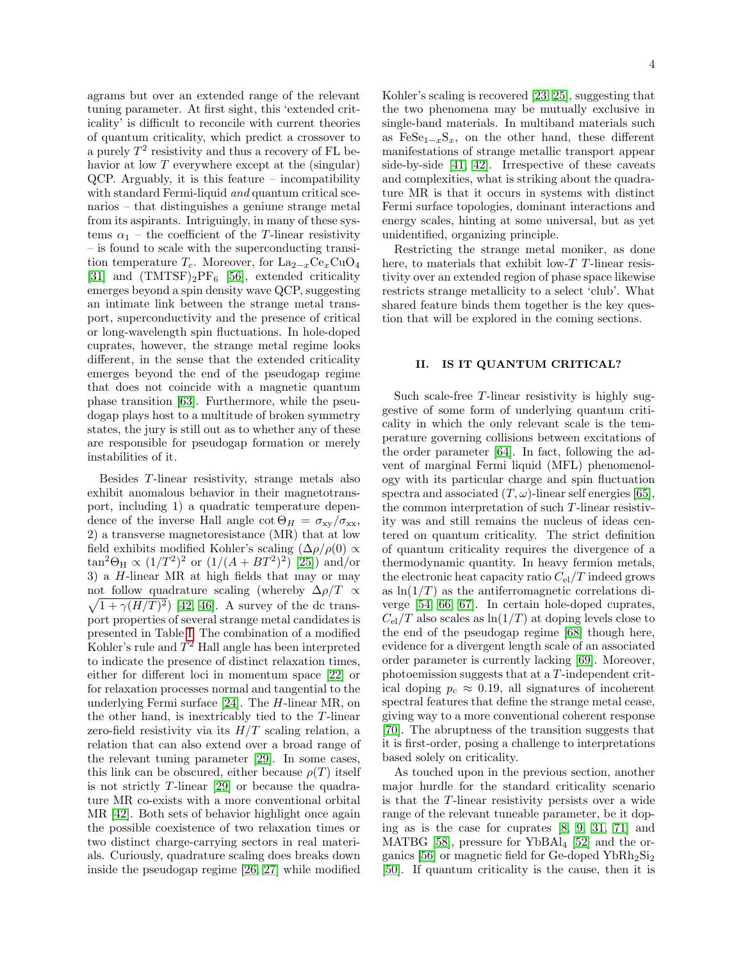agrams but over an extended range of the relevant tuning parameter. At first sight, this 'extended criticality' is difficult to reconcile with current theories of quantum criticality, which predict a crossover to a purely  $T^2$  resistivity and thus a recovery of FL behavior at low  $T$  everywhere except at the (singular) QCP. Arguably, it is this feature – incompatibility with standard Fermi-liquid and quantum critical scenarios – that distinguishes a geniune strange metal from its aspirants. Intriguingly, in many of these systems  $\alpha_1$  – the coefficient of the T-linear resistivity – is found to scale with the superconducting transition temperature  $T_c$ . Moreover, for La<sub>2−x</sub>Ce<sub>x</sub>CuO<sub>4</sub> [\[31\]](#page-11-9) and  $(TMTSF)_2PF_6$  [\[56\]](#page-11-34), extended criticality emerges beyond a spin density wave QCP, suggesting an intimate link between the strange metal transport, superconductivity and the presence of critical or long-wavelength spin fluctuations. In hole-doped cuprates, however, the strange metal regime looks different, in the sense that the extended criticality emerges beyond the end of the pseudogap regime that does not coincide with a magnetic quantum phase transition [\[63\]](#page-11-41). Furthermore, while the pseudogap plays host to a multitude of broken symmetry states, the jury is still out as to whether any of these are responsible for pseudogap formation or merely instabilities of it.

Besides T-linear resistivity, strange metals also exhibit anomalous behavior in their magnetotransport, including 1) a quadratic temperature dependence of the inverse Hall angle  $\cot \Theta_H = \sigma_{xy}/\sigma_{xx}$ , 2) a transverse magnetoresistance (MR) that at low field exhibits modified Kohler's scaling  $(\Delta \rho / \rho(0) \propto$  $\tan^2\Theta_H \propto (1/T^2)^2$  or  $(1/(A + BT^2)^2)$  [\[25\]](#page-11-3)) and/or 3) a H-linear MR at high fields that may or may not follow quadrature scaling (whereby  $\Delta \rho/T \propto$  $\sqrt{1 + \gamma (H/T)^2}$  [\[42,](#page-11-20) [46\]](#page-11-24). A survey of the dc transport properties of several strange metal candidates is presented in Table [I.](#page-2-0) The combination of a modified Kohler's rule and  $T^2$  Hall angle has been interpreted to indicate the presence of distinct relaxation times, either for different loci in momentum space [\[22\]](#page-11-0) or for relaxation processes normal and tangential to the underlying Fermi surface [\[24\]](#page-11-2). The H-linear MR, on the other hand, is inextricably tied to the T-linear zero-field resistivity via its  $H/T$  scaling relation, a relation that can also extend over a broad range of the relevant tuning parameter [\[29\]](#page-11-7). In some cases, this link can be obscured, either because  $\rho(T)$  itself is not strictly T-linear [\[29\]](#page-11-7) or because the quadrature MR co-exists with a more conventional orbital MR [\[42\]](#page-11-20). Both sets of behavior highlight once again the possible coexistence of two relaxation times or two distinct charge-carrying sectors in real materials. Curiously, quadrature scaling does breaks down inside the pseudogap regime [\[26,](#page-11-4) [27\]](#page-11-5) while modified Kohler's scaling is recovered [\[23,](#page-11-1) [25\]](#page-11-3), suggesting that the two phenomena may be mutually exclusive in single-band materials. In multiband materials such as FeSe<sub>1 $-x$ </sub>S<sub>x</sub>, on the other hand, these different manifestations of strange metallic transport appear side-by-side [\[41,](#page-11-19) [42\]](#page-11-20). Irrespective of these caveats and complexities, what is striking about the quadrature MR is that it occurs in systems with distinct Fermi surface topologies, dominant interactions and energy scales, hinting at some universal, but as yet unidentified, organizing principle.

Restricting the strange metal moniker, as done here, to materials that exhibit low-T T-linear resistivity over an extended region of phase space likewise restricts strange metallicity to a select 'club'. What shared feature binds them together is the key question that will be explored in the coming sections.

#### II. IS IT QUANTUM CRITICAL?

Such scale-free T-linear resistivity is highly suggestive of some form of underlying quantum criticality in which the only relevant scale is the temperature governing collisions between excitations of the order parameter [\[64\]](#page-11-42). In fact, following the advent of marginal Fermi liquid (MFL) phenomenology with its particular charge and spin fluctuation spectra and associated  $(T, \omega)$ -linear self energies [\[65\]](#page-11-43), the common interpretation of such T-linear resistivity was and still remains the nucleus of ideas centered on quantum criticality. The strict definition of quantum criticality requires the divergence of a thermodynamic quantity. In heavy fermion metals, the electronic heat capacity ratio  $C_{el}/T$  indeed grows as  $\ln(1/T)$  as the antiferromagnetic correlations diverge [\[54,](#page-11-32) [66,](#page-11-44) [67\]](#page-11-45). In certain hole-doped cuprates,  $C_{\rm el}/T$  also scales as  $\ln(1/T)$  at doping levels close to the end of the pseudogap regime [\[68\]](#page-11-46) though here, evidence for a divergent length scale of an associated order parameter is currently lacking [\[69\]](#page-11-47). Moreover, photoemission suggests that at a T-independent critical doping  $p_c \approx 0.19$ , all signatures of incoherent spectral features that define the strange metal cease, giving way to a more conventional coherent response [\[70\]](#page-11-48). The abruptness of the transition suggests that it is first-order, posing a challenge to interpretations based solely on criticality.

As touched upon in the previous section, another major hurdle for the standard criticality scenario is that the T-linear resistivity persists over a wide range of the relevant tuneable parameter, be it doping as is the case for cuprates [\[8,](#page-10-16) [9,](#page-10-19) [31,](#page-11-9) [71\]](#page-11-49) and MATBG [\[58\]](#page-11-36), pressure for YbBAl<sub>4</sub> [\[52\]](#page-11-30) and the or-ganics [\[56\]](#page-11-34) or magnetic field for Ge-doped  $YbRh<sub>2</sub>Si<sub>2</sub>$ [\[50\]](#page-11-28). If quantum criticality is the cause, then it is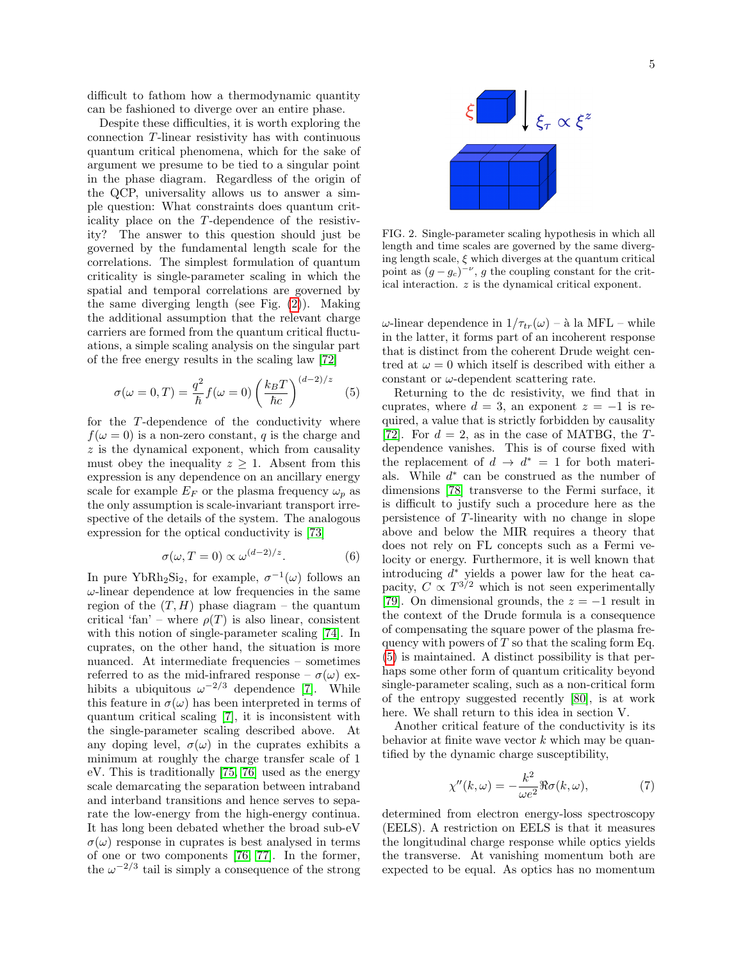difficult to fathom how a thermodynamic quantity can be fashioned to diverge over an entire phase.

Despite these difficulties, it is worth exploring the connection T-linear resistivity has with continuous quantum critical phenomena, which for the sake of argument we presume to be tied to a singular point in the phase diagram. Regardless of the origin of the QCP, universality allows us to answer a simple question: What constraints does quantum criticality place on the T-dependence of the resistivity? The answer to this question should just be governed by the fundamental length scale for the correlations. The simplest formulation of quantum criticality is single-parameter scaling in which the spatial and temporal correlations are governed by the same diverging length (see Fig. [\(2\)](#page-4-0)). Making the additional assumption that the relevant charge carriers are formed from the quantum critical fluctuations, a simple scaling analysis on the singular part of the free energy results in the scaling law [\[72\]](#page-11-50)

<span id="page-4-1"></span>
$$
\sigma(\omega = 0, T) = \frac{q^2}{\hbar} f(\omega = 0) \left(\frac{k_B T}{\hbar c}\right)^{(d-2)/z} \quad (5)
$$

for the T-dependence of the conductivity where  $f(\omega = 0)$  is a non-zero constant, q is the charge and  $z$  is the dynamical exponent, which from causality must obey the inequality  $z \geq 1$ . Absent from this expression is any dependence on an ancillary energy scale for example  $E_F$  or the plasma frequency  $\omega_p$  as the only assumption is scale-invariant transport irrespective of the details of the system. The analogous expression for the optical conductivity is [\[73\]](#page-11-51)

<span id="page-4-2"></span>
$$
\sigma(\omega, T = 0) \propto \omega^{(d-2)/z}.
$$
 (6)

In pure YbRh<sub>2</sub>Si<sub>2</sub>, for example,  $\sigma^{-1}(\omega)$  follows an  $\omega$ -linear dependence at low frequencies in the same region of the  $(T, H)$  phase diagram – the quantum critical 'fan' – where  $\rho(T)$  is also linear, consistent with this notion of single-parameter scaling [\[74\]](#page-11-52). In cuprates, on the other hand, the situation is more nuanced. At intermediate frequencies – sometimes referred to as the mid-infrared response –  $\sigma(\omega)$  exhibits a ubiquitous  $\omega^{-2/3}$  dependence [\[7\]](#page-10-5). While this feature in  $\sigma(\omega)$  has been interpreted in terms of quantum critical scaling [\[7\]](#page-10-5), it is inconsistent with the single-parameter scaling described above. At any doping level,  $\sigma(\omega)$  in the cuprates exhibits a minimum at roughly the charge transfer scale of 1 eV. This is traditionally [\[75,](#page-11-53) [76\]](#page-11-54) used as the energy scale demarcating the separation between intraband and interband transitions and hence serves to separate the low-energy from the high-energy continua. It has long been debated whether the broad sub-eV  $\sigma(\omega)$  response in cuprates is best analysed in terms of one or two components [\[76,](#page-11-54) [77\]](#page-11-55). In the former, the  $\omega^{-2/3}$  tail is simply a consequence of the strong



<span id="page-4-0"></span>FIG. 2. Single-parameter scaling hypothesis in which all length and time scales are governed by the same diverging length scale,  $\xi$  which diverges at the quantum critical point as  $(g - g_c)^{-\nu}$ , g the coupling constant for the critical interaction. z is the dynamical critical exponent.

ω-linear dependence in  $1/\tau_{tr}(\omega)$  – à la MFL – while in the latter, it forms part of an incoherent response that is distinct from the coherent Drude weight centred at  $\omega = 0$  which itself is described with either a constant or  $\omega$ -dependent scattering rate.

Returning to the dc resistivity, we find that in cuprates, where  $d = 3$ , an exponent  $z = -1$  is required, a value that is strictly forbidden by causality [\[72\]](#page-11-50). For  $d = 2$ , as in the case of MATBG, the Tdependence vanishes. This is of course fixed with the replacement of  $d \to d^* = 1$  for both materials. While  $d^*$  can be construed as the number of dimensions [\[78\]](#page-11-56) transverse to the Fermi surface, it is difficult to justify such a procedure here as the persistence of T-linearity with no change in slope above and below the MIR requires a theory that does not rely on FL concepts such as a Fermi velocity or energy. Furthermore, it is well known that introducing  $d^*$  yields a power law for the heat capacity,  $C \propto T^{3/2}$  which is not seen experimentally [\[79\]](#page-11-57). On dimensional grounds, the  $z = -1$  result in the context of the Drude formula is a consequence of compensating the square power of the plasma frequency with powers of  $T$  so that the scaling form Eq. [\(5\)](#page-4-1) is maintained. A distinct possibility is that perhaps some other form of quantum criticality beyond single-parameter scaling, such as a non-critical form of the entropy suggested recently [\[80\]](#page-11-58), is at work here. We shall return to this idea in section V.

Another critical feature of the conductivity is its behavior at finite wave vector  $k$  which may be quantified by the dynamic charge susceptibility,

$$
\chi''(k,\omega) = -\frac{k^2}{\omega e^2} \Re \sigma(k,\omega),\tag{7}
$$

determined from electron energy-loss spectroscopy (EELS). A restriction on EELS is that it measures the longitudinal charge response while optics yields the transverse. At vanishing momentum both are expected to be equal. As optics has no momentum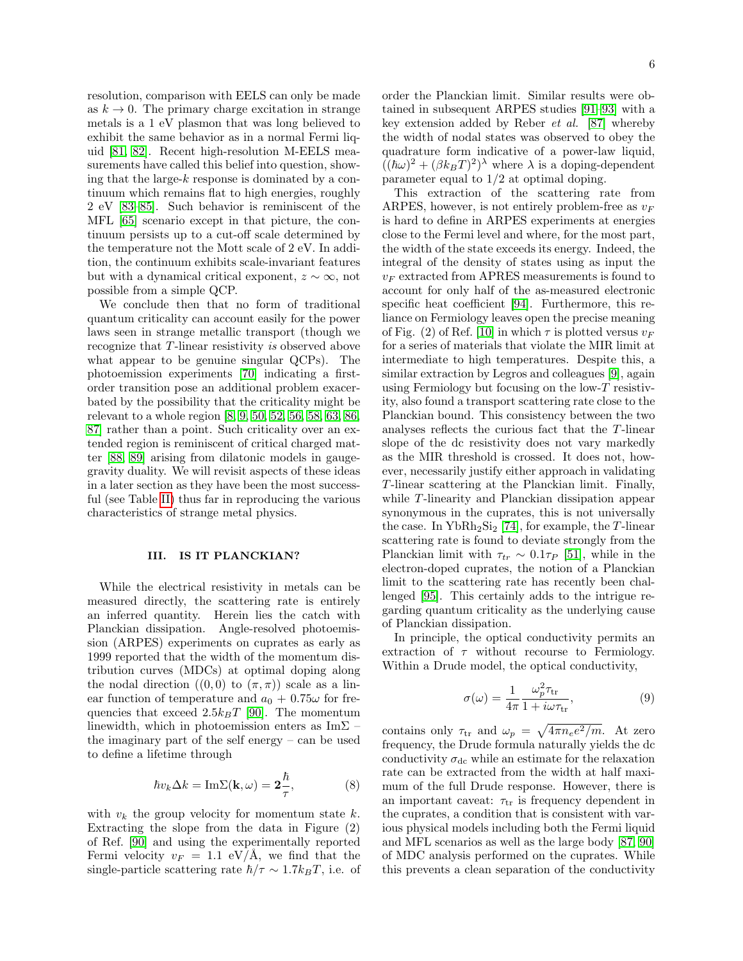resolution, comparison with EELS can only be made as  $k \to 0$ . The primary charge excitation in strange metals is a 1 eV plasmon that was long believed to exhibit the same behavior as in a normal Fermi liquid [\[81,](#page-11-59) [82\]](#page-11-60). Recent high-resolution M-EELS measurements have called this belief into question, showing that the large- $k$  response is dominated by a continuum which remains flat to high energies, roughly 2 eV [\[83](#page-11-61)[–85\]](#page-11-62). Such behavior is reminiscent of the MFL [\[65\]](#page-11-43) scenario except in that picture, the continuum persists up to a cut-off scale determined by the temperature not the Mott scale of 2 eV. In addition, the continuum exhibits scale-invariant features but with a dynamical critical exponent,  $z \sim \infty$ , not possible from a simple QCP.

We conclude then that no form of traditional quantum criticality can account easily for the power laws seen in strange metallic transport (though we recognize that T-linear resistivity is observed above what appear to be genuine singular QCPs). The photoemission experiments [\[70\]](#page-11-48) indicating a firstorder transition pose an additional problem exacerbated by the possibility that the criticality might be relevant to a whole region [\[8,](#page-10-16) [9,](#page-10-19) [50,](#page-11-28) [52,](#page-11-30) [56,](#page-11-34) [58,](#page-11-36) [63,](#page-11-41) [86,](#page-11-63) [87\]](#page-11-64) rather than a point. Such criticality over an extended region is reminiscent of critical charged matter [\[88,](#page-11-65) [89\]](#page-11-66) arising from dilatonic models in gaugegravity duality. We will revisit aspects of these ideas in a later section as they have been the most successful (see Table [II\)](#page-7-0) thus far in reproducing the various characteristics of strange metal physics.

### III. IS IT PLANCKIAN?

While the electrical resistivity in metals can be measured directly, the scattering rate is entirely an inferred quantity. Herein lies the catch with Planckian dissipation. Angle-resolved photoemission (ARPES) experiments on cuprates as early as 1999 reported that the width of the momentum distribution curves (MDCs) at optimal doping along the nodal direction  $((0,0)$  to  $(\pi,\pi))$  scale as a linear function of temperature and  $a_0 + 0.75\omega$  for frequencies that exceed  $2.5k_BT$  [\[90\]](#page-11-67). The momentum linewidth, which in photoemission enters as Im $\Sigma$  – the imaginary part of the self energy – can be used to define a lifetime through

$$
\hbar v_k \Delta k = \text{Im}\Sigma(\mathbf{k}, \omega) = \mathbf{2}\frac{\hbar}{\tau},\tag{8}
$$

with  $v_k$  the group velocity for momentum state  $k$ . Extracting the slope from the data in Figure (2) of Ref. [\[90\]](#page-11-67) and using the experimentally reported Fermi velocity  $v_F = 1.1$  eV/Å, we find that the single-particle scattering rate  $\hbar/\tau \sim 1.7 k_B T$ , i.e. of order the Planckian limit. Similar results were obtained in subsequent ARPES studies [\[91](#page-11-68)[–93\]](#page-11-69) with a key extension added by Reber et al. [\[87\]](#page-11-64) whereby the width of nodal states was observed to obey the quadrature form indicative of a power-law liquid,  $((\hbar\omega)^2 + (\beta k_B T)^2)^{\lambda}$  where  $\lambda$  is a doping-dependent parameter equal to 1/2 at optimal doping.

This extraction of the scattering rate from ARPES, however, is not entirely problem-free as  $v_F$ is hard to define in ARPES experiments at energies close to the Fermi level and where, for the most part, the width of the state exceeds its energy. Indeed, the integral of the density of states using as input the  $v_F$  extracted from APRES measurements is found to account for only half of the as-measured electronic specific heat coefficient [\[94\]](#page-12-0). Furthermore, this reliance on Fermiology leaves open the precise meaning of Fig. (2) of Ref. [\[10\]](#page-10-6) in which  $\tau$  is plotted versus  $v_F$ for a series of materials that violate the MIR limit at intermediate to high temperatures. Despite this, a similar extraction by Legros and colleagues [\[9\]](#page-10-19), again using Fermiology but focusing on the low- $T$  resistivity, also found a transport scattering rate close to the Planckian bound. This consistency between the two analyses reflects the curious fact that the T-linear slope of the dc resistivity does not vary markedly as the MIR threshold is crossed. It does not, however, necessarily justify either approach in validating T-linear scattering at the Planckian limit. Finally, while T-linearity and Planckian dissipation appear synonymous in the cuprates, this is not universally the case. In  $YbRh_2Si_2$  [\[74\]](#page-11-52), for example, the T-linear scattering rate is found to deviate strongly from the Planckian limit with  $\tau_{tr} \sim 0.1 \tau_P$  [\[51\]](#page-11-29), while in the electron-doped cuprates, the notion of a Planckian limit to the scattering rate has recently been challenged [\[95\]](#page-12-1). This certainly adds to the intrigue regarding quantum criticality as the underlying cause of Planckian dissipation.

In principle, the optical conductivity permits an extraction of  $\tau$  without recourse to Fermiology. Within a Drude model, the optical conductivity,

$$
\sigma(\omega) = \frac{1}{4\pi} \frac{\omega_p^2 \tau_{\text{tr}}}{1 + i\omega \tau_{\text{tr}}},\tag{9}
$$

contains only  $\tau_{tr}$  and  $\omega_p = \sqrt{4\pi n_e e^2/m}$ . At zero frequency, the Drude formula naturally yields the dc conductivity  $\sigma_{dc}$  while an estimate for the relaxation rate can be extracted from the width at half maximum of the full Drude response. However, there is an important caveat:  $\tau_{tr}$  is frequency dependent in the cuprates, a condition that is consistent with various physical models including both the Fermi liquid and MFL scenarios as well as the large body [\[87,](#page-11-64) [90\]](#page-11-67) of MDC analysis performed on the cuprates. While this prevents a clean separation of the conductivity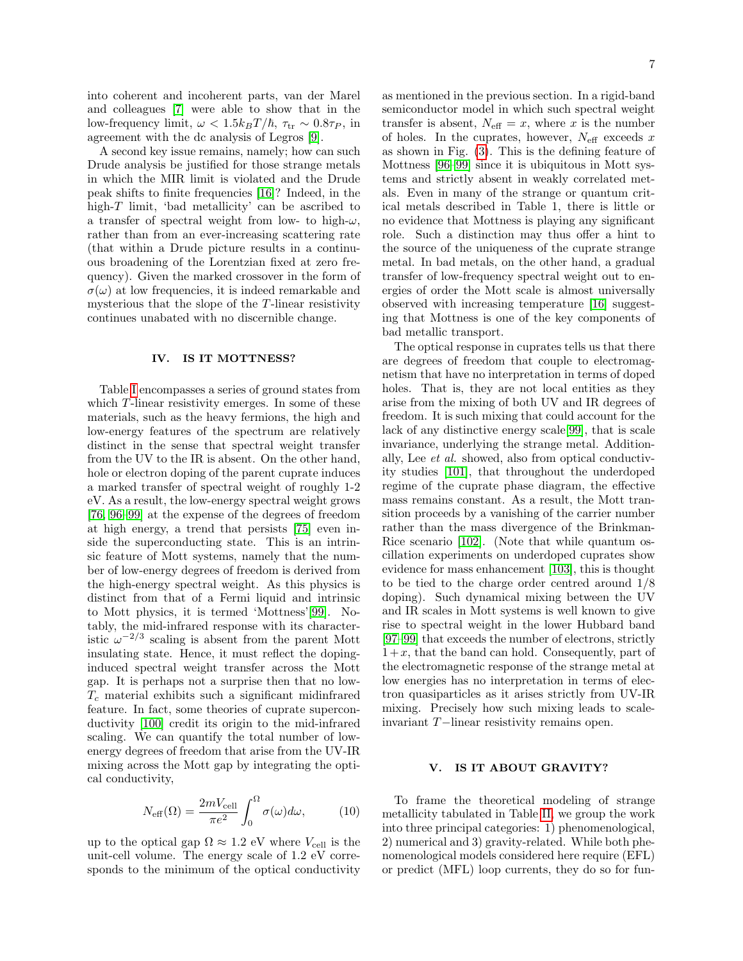into coherent and incoherent parts, van der Marel and colleagues [\[7\]](#page-10-5) were able to show that in the low-frequency limit,  $\omega < 1.5 k_B T/\hbar$ ,  $\tau_{tr} \sim 0.8 \tau_P$ , in agreement with the dc analysis of Legros [\[9\]](#page-10-19).

A second key issue remains, namely; how can such Drude analysis be justified for those strange metals in which the MIR limit is violated and the Drude peak shifts to finite frequencies [\[16\]](#page-10-12)? Indeed, in the high- $T$  limit, 'bad metallicity' can be ascribed to a transfer of spectral weight from low- to high- $\omega$ , rather than from an ever-increasing scattering rate (that within a Drude picture results in a continuous broadening of the Lorentzian fixed at zero frequency). Given the marked crossover in the form of  $\sigma(\omega)$  at low frequencies, it is indeed remarkable and mysterious that the slope of the T-linear resistivity continues unabated with no discernible change.

### IV. IS IT MOTTNESS?

Table [I](#page-2-0) encompasses a series of ground states from which T-linear resistivity emerges. In some of these materials, such as the heavy fermions, the high and low-energy features of the spectrum are relatively distinct in the sense that spectral weight transfer from the UV to the IR is absent. On the other hand, hole or electron doping of the parent cuprate induces a marked transfer of spectral weight of roughly 1-2 eV. As a result, the low-energy spectral weight grows [\[76,](#page-11-54) [96–](#page-12-2)[99\]](#page-12-3) at the expense of the degrees of freedom at high energy, a trend that persists [\[75\]](#page-11-53) even inside the superconducting state. This is an intrinsic feature of Mott systems, namely that the number of low-energy degrees of freedom is derived from the high-energy spectral weight. As this physics is distinct from that of a Fermi liquid and intrinsic to Mott physics, it is termed 'Mottness'[\[99\]](#page-12-3). Notably, the mid-infrared response with its characteristic  $\omega^{-2/3}$  scaling is absent from the parent Mott insulating state. Hence, it must reflect the dopinginduced spectral weight transfer across the Mott gap. It is perhaps not a surprise then that no low- $T_c$  material exhibits such a significant midinfrared feature. In fact, some theories of cuprate superconductivity [\[100\]](#page-12-4) credit its origin to the mid-infrared scaling. We can quantify the total number of lowenergy degrees of freedom that arise from the UV-IR mixing across the Mott gap by integrating the optical conductivity,

$$
N_{\text{eff}}(\Omega) = \frac{2mV_{\text{cell}}}{\pi e^2} \int_0^{\Omega} \sigma(\omega) d\omega, \qquad (10)
$$

up to the optical gap  $\Omega \approx 1.2$  eV where  $V_{\text{cell}}$  is the unit-cell volume. The energy scale of 1.2 eV corresponds to the minimum of the optical conductivity as mentioned in the previous section. In a rigid-band semiconductor model in which such spectral weight transfer is absent,  $N_{\text{eff}} = x$ , where x is the number of holes. In the cuprates, however,  $N_{\text{eff}}$  exceeds x as shown in Fig. [\(3\)](#page-7-1). This is the defining feature of Mottness [\[96–](#page-12-2)[99\]](#page-12-3) since it is ubiquitous in Mott systems and strictly absent in weakly correlated metals. Even in many of the strange or quantum critical metals described in Table 1, there is little or no evidence that Mottness is playing any significant role. Such a distinction may thus offer a hint to the source of the uniqueness of the cuprate strange metal. In bad metals, on the other hand, a gradual transfer of low-frequency spectral weight out to energies of order the Mott scale is almost universally observed with increasing temperature [\[16\]](#page-10-12) suggesting that Mottness is one of the key components of bad metallic transport.

The optical response in cuprates tells us that there are degrees of freedom that couple to electromagnetism that have no interpretation in terms of doped holes. That is, they are not local entities as they arise from the mixing of both UV and IR degrees of freedom. It is such mixing that could account for the lack of any distinctive energy scale[\[99\]](#page-12-3), that is scale invariance, underlying the strange metal. Additionally, Lee et al. showed, also from optical conductivity studies [\[101\]](#page-12-5), that throughout the underdoped regime of the cuprate phase diagram, the effective mass remains constant. As a result, the Mott transition proceeds by a vanishing of the carrier number rather than the mass divergence of the Brinkman-Rice scenario [\[102\]](#page-12-6). (Note that while quantum oscillation experiments on underdoped cuprates show evidence for mass enhancement [\[103\]](#page-12-7), this is thought to be tied to the charge order centred around 1/8 doping). Such dynamical mixing between the UV and IR scales in Mott systems is well known to give rise to spectral weight in the lower Hubbard band [\[97–](#page-12-8)[99\]](#page-12-3) that exceeds the number of electrons, strictly  $1+x$ , that the band can hold. Consequently, part of the electromagnetic response of the strange metal at low energies has no interpretation in terms of electron quasiparticles as it arises strictly from UV-IR mixing. Precisely how such mixing leads to scaleinvariant T−linear resistivity remains open.

## V. IS IT ABOUT GRAVITY?

To frame the theoretical modeling of strange metallicity tabulated in Table [II,](#page-7-0) we group the work into three principal categories: 1) phenomenological, 2) numerical and 3) gravity-related. While both phenomenological models considered here require (EFL) or predict (MFL) loop currents, they do so for fun-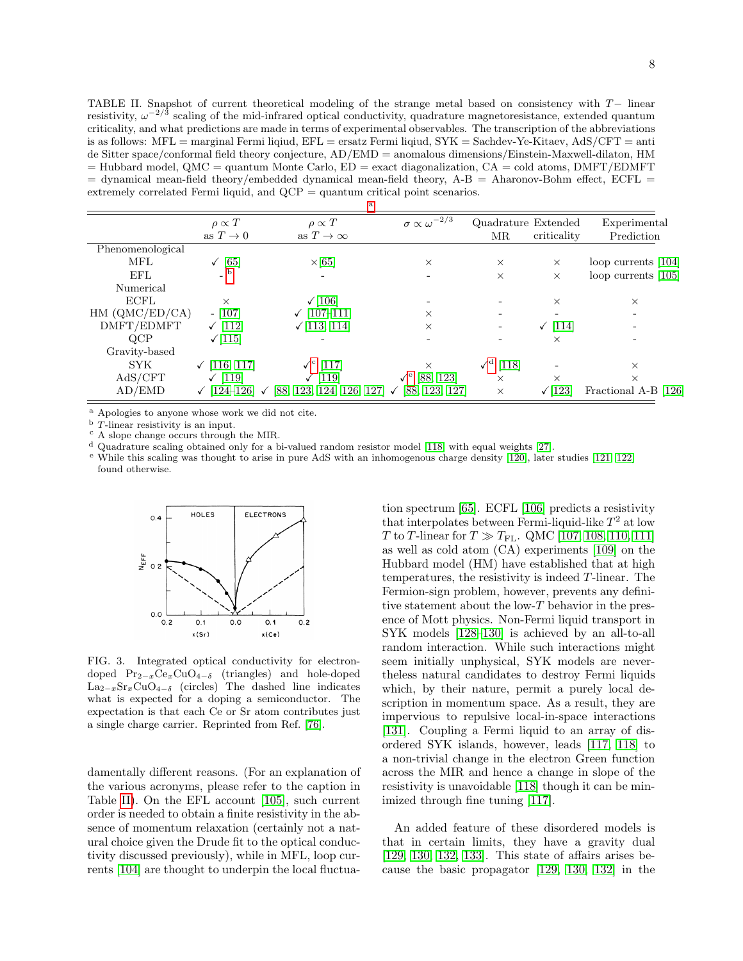<span id="page-7-0"></span>TABLE II. Snapshot of current theoretical modeling of the strange metal based on consistency with T− linear resistivity,  $\omega^{-2/3}$  scaling of the mid-infrared optical conductivity, quadrature magnetoresistance, extended quantum criticality, and what predictions are made in terms of experimental observables. The transcription of the abbreviations is as follows: MFL = marginal Fermi liqiud, EFL = ersatz Fermi liqiud, SYK = Sachdev-Ye-Kitaev, AdS/CFT = anti de Sitter space/conformal field theory conjecture, AD/EMD = anomalous dimensions/Einstein-Maxwell-dilaton, HM  $=$  Hubbard model, QMC = quantum Monte Carlo,  $ED =$  exact diagonalization,  $CA =$  cold atoms, DMFT/EDMFT  $=$  dynamical mean-field theory/embedded dynamical mean-field theory, A-B  $=$  Aharonov-Bohm effect, ECFL  $=$ extremely correlated Fermi liquid, and QCP = quantum critical point scenarios.

|                  |                         | a                                                                                        |                                |                                       |              |                       |
|------------------|-------------------------|------------------------------------------------------------------------------------------|--------------------------------|---------------------------------------|--------------|-----------------------|
|                  | $\rho \propto T$        | $\rho \propto T$                                                                         | $\sigma \propto \omega^{-2/3}$ | Quadrature Extended                   |              | Experimental          |
|                  | as $T \to 0$            | as $T \to \infty$                                                                        |                                | <b>MR</b>                             | criticality  | Prediction            |
| Phenomenological |                         |                                                                                          |                                |                                       |              |                       |
| MFL              | $\checkmark$ [65]       | $\times$ [65]                                                                            | $\times$                       | $\times$                              | $\times$     | loop currents $[104]$ |
| EFL              |                         |                                                                                          |                                | $\times$                              | $\times$     | loop currents $[105]$ |
| Numerical        |                         |                                                                                          |                                |                                       |              |                       |
| <b>ECFL</b>      | $\times$                | $\sqrt{106}$                                                                             |                                |                                       | $\times$     | $\times$              |
| HM (QMC/ED/CA)   | $-$ [107]               | $\sqrt{107-111}$                                                                         | $\times$                       |                                       |              |                       |
| DMFT/EDMFT       | $\sqrt{112}$            | $\sqrt{113, 114}$                                                                        | $\times$                       |                                       | $\sqrt{114}$ |                       |
| QCP              | $\sqrt{115}$            |                                                                                          |                                |                                       | $\times$     |                       |
| Gravity-based    |                         |                                                                                          |                                |                                       |              |                       |
| SYK.             | $\checkmark$ [116, 117] | $\checkmark^{\rm c}$ [117]                                                               |                                | $\mathcal{N}^{\mathrm{d}}$<br>$[118]$ |              | $\times$              |
| AdS/CFT          | $\sqrt{119}$            | $\sqrt{119}$                                                                             | $\checkmark^e$ [88, 123]       | $\times$                              | $\times$     | $\times$              |
| AD/EMD           |                         | $\checkmark$ [124-126] $\checkmark$ [88, 123, 124, 126, 127] $\checkmark$ [88, 123, 127] |                                | $\times$                              | $\sqrt{123}$ | Fractional A-B [126]  |

<span id="page-7-2"></span><sup>a</sup> Apologies to anyone whose work we did not cite.<br> $\frac{b}{L}$  T-linear resistivity is an input

<span id="page-7-3"></span>T-linear resistivity is an input.

<span id="page-7-4"></span><sup>c</sup> A slope change occurs through the MIR.

<span id="page-7-5"></span><sup>d</sup> Quadrature scaling obtained only for a bi-valued random resistor model [\[118\]](#page-12-20) with equal weights [\[27\]](#page-11-5).

<span id="page-7-6"></span><sup>e</sup> While this scaling was thought to arise in pure AdS with an inhomogenous charge density [\[120\]](#page-12-26), later studies [\[121,](#page-12-27) [122\]](#page-12-28) found otherwise.



<span id="page-7-1"></span>FIG. 3. Integrated optical conductivity for electrondoped Pr2−xCexCuO4−<sup>δ</sup> (triangles) and hole-doped La<sub>2−x</sub>Sr<sub>x</sub>CuO<sub>4−δ</sub> (circles) The dashed line indicates what is expected for a doping a semiconductor. The expectation is that each Ce or Sr atom contributes just a single charge carrier. Reprinted from Ref. [\[76\]](#page-11-54).

damentally different reasons. (For an explanation of the various acronyms, please refer to the caption in Table [II\)](#page-7-0). On the EFL account [\[105\]](#page-12-10), such current order is needed to obtain a finite resistivity in the absence of momentum relaxation (certainly not a natural choice given the Drude fit to the optical conductivity discussed previously), while in MFL, loop currents [\[104\]](#page-12-9) are thought to underpin the local fluctuation spectrum [\[65\]](#page-11-43). ECFL [\[106\]](#page-12-11) predicts a resistivity that interpolates between Fermi-liquid-like  $T^2$  at low T to T-linear for  $T \gg T_{\rm FL}$ . QMC [\[107,](#page-12-12) [108,](#page-12-29) [110,](#page-12-30) [111\]](#page-12-13) as well as cold atom (CA) experiments [\[109\]](#page-12-31) on the Hubbard model (HM) have established that at high temperatures, the resistivity is indeed T-linear. The Fermion-sign problem, however, prevents any definitive statement about the low- $T$  behavior in the presence of Mott physics. Non-Fermi liquid transport in SYK models [\[128–](#page-12-32)[130\]](#page-12-33) is achieved by an all-to-all random interaction. While such interactions might seem initially unphysical, SYK models are nevertheless natural candidates to destroy Fermi liquids which, by their nature, permit a purely local description in momentum space. As a result, they are impervious to repulsive local-in-space interactions [\[131\]](#page-12-34). Coupling a Fermi liquid to an array of disordered SYK islands, however, leads [\[117,](#page-12-19) [118\]](#page-12-20) to a non-trivial change in the electron Green function across the MIR and hence a change in slope of the resistivity is unavoidable [\[118\]](#page-12-20) though it can be minimized through fine tuning [\[117\]](#page-12-19).

An added feature of these disordered models is that in certain limits, they have a gravity dual [\[129,](#page-12-35) [130,](#page-12-33) [132,](#page-12-36) [133\]](#page-12-37). This state of affairs arises because the basic propagator [\[129,](#page-12-35) [130,](#page-12-33) [132\]](#page-12-36) in the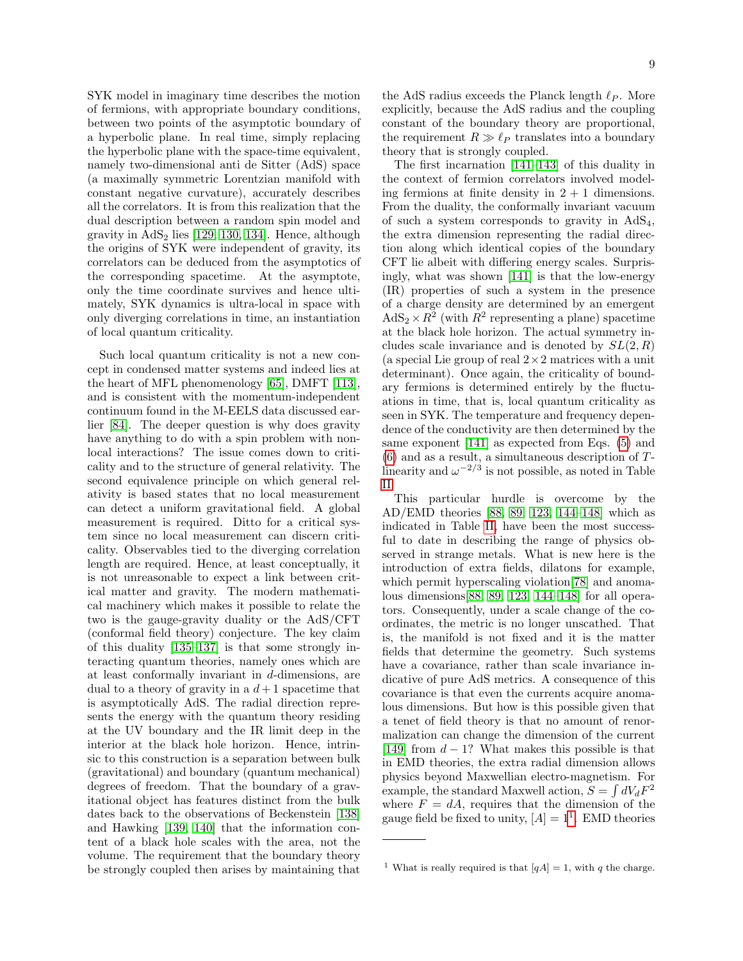SYK model in imaginary time describes the motion of fermions, with appropriate boundary conditions, between two points of the asymptotic boundary of a hyperbolic plane. In real time, simply replacing the hyperbolic plane with the space-time equivalent, namely two-dimensional anti de Sitter (AdS) space (a maximally symmetric Lorentzian manifold with constant negative curvature), accurately describes all the correlators. It is from this realization that the dual description between a random spin model and gravity in  $AdS<sub>2</sub>$  lies [\[129,](#page-12-35) [130,](#page-12-33) [134\]](#page-12-38). Hence, although the origins of SYK were independent of gravity, its correlators can be deduced from the asymptotics of the corresponding spacetime. At the asymptote, only the time coordinate survives and hence ultimately, SYK dynamics is ultra-local in space with only diverging correlations in time, an instantiation of local quantum criticality.

Such local quantum criticality is not a new concept in condensed matter systems and indeed lies at the heart of MFL phenomenology [\[65\]](#page-11-43), DMFT [\[113\]](#page-12-15), and is consistent with the momentum-independent continuum found in the M-EELS data discussed earlier [\[84\]](#page-11-70). The deeper question is why does gravity have anything to do with a spin problem with nonlocal interactions? The issue comes down to criticality and to the structure of general relativity. The second equivalence principle on which general relativity is based states that no local measurement can detect a uniform gravitational field. A global measurement is required. Ditto for a critical system since no local measurement can discern criticality. Observables tied to the diverging correlation length are required. Hence, at least conceptually, it is not unreasonable to expect a link between critical matter and gravity. The modern mathematical machinery which makes it possible to relate the two is the gauge-gravity duality or the AdS/CFT (conformal field theory) conjecture. The key claim of this duality [\[135–](#page-12-39)[137\]](#page-12-40) is that some strongly interacting quantum theories, namely ones which are at least conformally invariant in d-dimensions, are dual to a theory of gravity in a  $d+1$  spacetime that is asymptotically AdS. The radial direction represents the energy with the quantum theory residing at the UV boundary and the IR limit deep in the interior at the black hole horizon. Hence, intrinsic to this construction is a separation between bulk (gravitational) and boundary (quantum mechanical) degrees of freedom. That the boundary of a gravitational object has features distinct from the bulk dates back to the observations of Beckenstein [\[138\]](#page-12-41) and Hawking [\[139,](#page-12-42) [140\]](#page-12-43) that the information content of a black hole scales with the area, not the volume. The requirement that the boundary theory be strongly coupled then arises by maintaining that the AdS radius exceeds the Planck length  $\ell_P$ . More explicitly, because the AdS radius and the coupling constant of the boundary theory are proportional, the requirement  $R \gg \ell_P$  translates into a boundary theory that is strongly coupled.

The first incarnation [\[141](#page-12-44)[–143\]](#page-12-45) of this duality in the context of fermion correlators involved modeling fermions at finite density in  $2 + 1$  dimensions. From the duality, the conformally invariant vacuum of such a system corresponds to gravity in  $AdS<sub>4</sub>$ , the extra dimension representing the radial direction along which identical copies of the boundary CFT lie albeit with differing energy scales. Surprisingly, what was shown [\[141\]](#page-12-44) is that the low-energy (IR) properties of such a system in the presence of a charge density are determined by an emergent  $AdS_2 \times R^2$  (with  $R^2$  representing a plane) spacetime at the black hole horizon. The actual symmetry includes scale invariance and is denoted by  $SL(2, R)$ (a special Lie group of real  $2\times 2$  matrices with a unit determinant). Once again, the criticality of boundary fermions is determined entirely by the fluctuations in time, that is, local quantum criticality as seen in SYK. The temperature and frequency dependence of the conductivity are then determined by the same exponent [\[141\]](#page-12-44) as expected from Eqs. [\(5\)](#page-4-1) and [\(6\)](#page-4-2) and as a result, a simultaneous description of Tlinearity and  $\omega^{-2/3}$  is not possible, as noted in Table [II.](#page-7-0)

This particular hurdle is overcome by the AD/EMD theories [\[88,](#page-11-65) [89,](#page-11-66) [123,](#page-12-22) [144–](#page-12-46)[148\]](#page-12-47) which as indicated in Table [II,](#page-7-0) have been the most successful to date in describing the range of physics observed in strange metals. What is new here is the introduction of extra fields, dilatons for example, which permit hyperscaling violation [\[78\]](#page-11-56) and anomalous dimensions[\[88,](#page-11-65) [89,](#page-11-66) [123,](#page-12-22) [144–](#page-12-46)[148\]](#page-12-47) for all operators. Consequently, under a scale change of the coordinates, the metric is no longer unscathed. That is, the manifold is not fixed and it is the matter fields that determine the geometry. Such systems have a covariance, rather than scale invariance indicative of pure AdS metrics. A consequence of this covariance is that even the currents acquire anomalous dimensions. But how is this possible given that a tenet of field theory is that no amount of renormalization can change the dimension of the current [\[149\]](#page-12-48) from  $d - 1$ ? What makes this possible is that in EMD theories, the extra radial dimension allows physics beyond Maxwellian electro-magnetism. For example, the standard Maxwell action,  $S = \int dV_dF^2$ where  $F = dA$ , requires that the dimension of the gauge field be fixed to unity,  $[A] = 1<sup>1</sup>$  $[A] = 1<sup>1</sup>$  $[A] = 1<sup>1</sup>$ . EMD theories

<span id="page-8-0"></span><sup>&</sup>lt;sup>1</sup> What is really required is that  $[qA] = 1$ , with q the charge.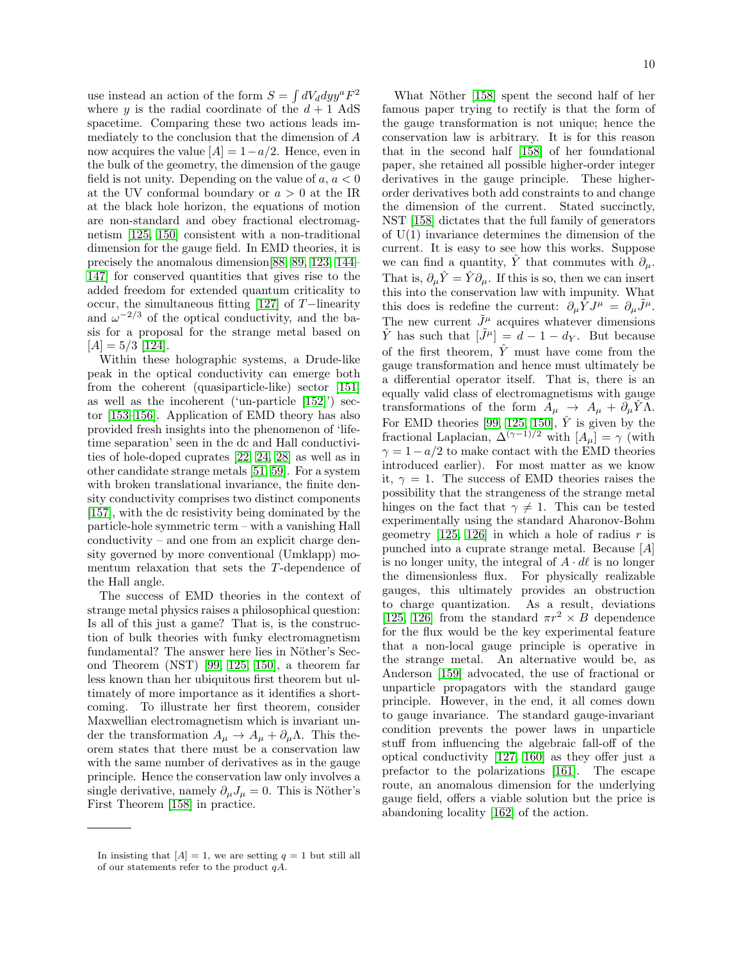use instead an action of the form  $S = \int dV_d dy y^a F^2$ where y is the radial coordinate of the  $d+1$  AdS spacetime. Comparing these two actions leads immediately to the conclusion that the dimension of A now acquires the value  $[A] = 1 - a/2$ . Hence, even in the bulk of the geometry, the dimension of the gauge field is not unity. Depending on the value of  $a, a < 0$ at the UV conformal boundary or  $a > 0$  at the IR at the black hole horizon, the equations of motion are non-standard and obey fractional electromagnetism [\[125,](#page-12-49) [150\]](#page-12-50) consistent with a non-traditional dimension for the gauge field. In EMD theories, it is precisely the anomalous dimension[\[88,](#page-11-65) [89,](#page-11-66) [123,](#page-12-22) [144–](#page-12-46) [147\]](#page-12-51) for conserved quantities that gives rise to the added freedom for extended quantum criticality to occur, the simultaneous fitting [\[127\]](#page-12-25) of T−linearity and  $\omega^{-2/3}$  of the optical conductivity, and the basis for a proposal for the strange metal based on  $[A] = 5/3$  [\[124\]](#page-12-23).

Within these holographic systems, a Drude-like peak in the optical conductivity can emerge both from the coherent (quasiparticle-like) sector [\[151\]](#page-12-52) as well as the incoherent ('un-particle [\[152\]](#page-12-53)') sector [\[153](#page-12-54)[–156\]](#page-12-55). Application of EMD theory has also provided fresh insights into the phenomenon of 'lifetime separation' seen in the dc and Hall conductivities of hole-doped cuprates [\[22,](#page-11-0) [24,](#page-11-2) [28\]](#page-11-6) as well as in other candidate strange metals [\[51,](#page-11-29) [59\]](#page-11-37). For a system with broken translational invariance, the finite density conductivity comprises two distinct components [\[157\]](#page-12-56), with the dc resistivity being dominated by the particle-hole symmetric term – with a vanishing Hall conductivity – and one from an explicit charge density governed by more conventional (Umklapp) momentum relaxation that sets the T-dependence of the Hall angle.

The success of EMD theories in the context of strange metal physics raises a philosophical question: Is all of this just a game? That is, is the construction of bulk theories with funky electromagnetism fundamental? The answer here lies in Nöther's Second Theorem (NST) [\[99,](#page-12-3) [125,](#page-12-49) [150\]](#page-12-50), a theorem far less known than her ubiquitous first theorem but ultimately of more importance as it identifies a shortcoming. To illustrate her first theorem, consider Maxwellian electromagnetism which is invariant under the transformation  $A_{\mu} \to A_{\mu} + \partial_{\mu} \Lambda$ . This theorem states that there must be a conservation law with the same number of derivatives as in the gauge principle. Hence the conservation law only involves a single derivative, namely  $\partial_{\mu}J_{\mu} = 0$ . This is Nöther's First Theorem [\[158\]](#page-12-57) in practice.

What Nöther [\[158\]](#page-12-57) spent the second half of her famous paper trying to rectify is that the form of the gauge transformation is not unique; hence the conservation law is arbitrary. It is for this reason that in the second half [\[158\]](#page-12-57) of her foundational paper, she retained all possible higher-order integer derivatives in the gauge principle. These higherorder derivatives both add constraints to and change the dimension of the current. Stated succinctly, NST [\[158\]](#page-12-57) dictates that the full family of generators of  $U(1)$  invariance determines the dimension of the current. It is easy to see how this works. Suppose we can find a quantity,  $\hat{Y}$  that commutes with  $\partial_{\mu}$ . That is,  $\partial_{\mu}\hat{Y} = \hat{Y}\partial_{\mu}$ . If this is so, then we can insert this into the conservation law with impunity. What this does is redefine the current:  $\partial_{\mu}\hat{Y}J^{\mu} = \partial_{\mu}\hat{J}^{\mu}$ . The new current  $\tilde{J}^{\mu}$  acquires whatever dimensions  $\hat{Y}$  has such that  $|\tilde{J}^{\mu}| = d - 1 - d_{Y}$ . But because of the first theorem,  $\hat{Y}$  must have come from the gauge transformation and hence must ultimately be a differential operator itself. That is, there is an equally valid class of electromagnetisms with gauge transformations of the form  $A_{\mu} \rightarrow A_{\mu} + \partial_{\mu} \hat{Y} \Lambda$ . For EMD theories [\[99,](#page-12-3) [125,](#page-12-49) [150\]](#page-12-50),  $\hat{Y}$  is given by the fractional Laplacian,  $\Delta^{(\gamma-1)/2}$  with  $[A_\mu] = \gamma$  (with  $\gamma = 1 - a/2$  to make contact with the EMD theories introduced earlier). For most matter as we know it,  $\gamma = 1$ . The success of EMD theories raises the possibility that the strangeness of the strange metal hinges on the fact that  $\gamma \neq 1$ . This can be tested experimentally using the standard Aharonov-Bohm geometry [\[125,](#page-12-49) [126\]](#page-12-24) in which a hole of radius  $r$  is punched into a cuprate strange metal. Because [A] is no longer unity, the integral of  $A \cdot d\ell$  is no longer the dimensionless flux. For physically realizable gauges, this ultimately provides an obstruction to charge quantization. As a result, deviations [\[125,](#page-12-49) [126\]](#page-12-24) from the standard  $\pi r^2 \times B$  dependence for the flux would be the key experimental feature that a non-local gauge principle is operative in the strange metal. An alternative would be, as Anderson [\[159\]](#page-12-58) advocated, the use of fractional or unparticle propagators with the standard gauge principle. However, in the end, it all comes down to gauge invariance. The standard gauge-invariant condition prevents the power laws in unparticle stuff from influencing the algebraic fall-off of the optical conductivity [\[127,](#page-12-25) [160\]](#page-12-59) as they offer just a prefactor to the polarizations [\[161\]](#page-12-60). The escape route, an anomalous dimension for the underlying gauge field, offers a viable solution but the price is abandoning locality [\[162\]](#page-12-61) of the action.

In insisting that  $[A] = 1$ , we are setting  $q = 1$  but still all of our statements refer to the product  $qA$ .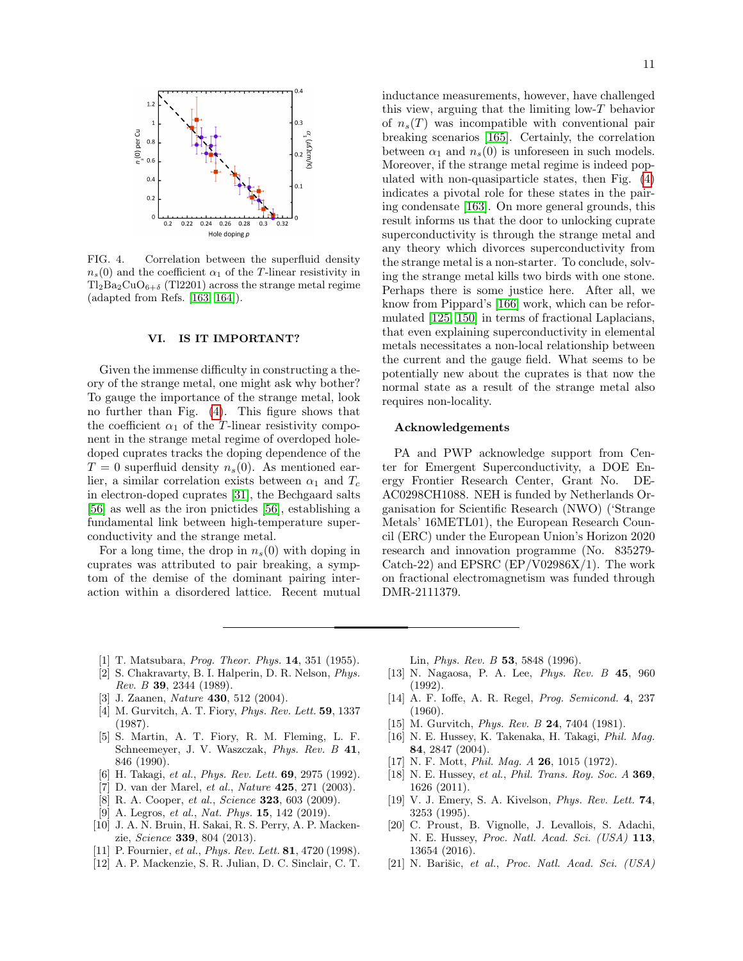

<span id="page-10-20"></span>FIG. 4. Correlation between the superfluid density  $n_s(0)$  and the coefficient  $\alpha_1$  of the T-linear resistivity in  $Tl_2Ba_2CuO_{6+\delta}$  (Tl2201) across the strange metal regime (adapted from Refs. [\[163,](#page-12-62) [164\]](#page-12-63)).

### VI. IS IT IMPORTANT?

Given the immense difficulty in constructing a theory of the strange metal, one might ask why bother? To gauge the importance of the strange metal, look no further than Fig. [\(4\)](#page-10-20). This figure shows that the coefficient  $\alpha_1$  of the T-linear resistivity component in the strange metal regime of overdoped holedoped cuprates tracks the doping dependence of the  $T = 0$  superfluid density  $n_s(0)$ . As mentioned earlier, a similar correlation exists between  $\alpha_1$  and  $T_c$ in electron-doped cuprates [\[31\]](#page-11-9), the Bechgaard salts [\[56\]](#page-11-34) as well as the iron pnictides [\[56\]](#page-11-34), establishing a fundamental link between high-temperature superconductivity and the strange metal.

For a long time, the drop in  $n_s(0)$  with doping in cuprates was attributed to pair breaking, a symptom of the demise of the dominant pairing interaction within a disordered lattice. Recent mutual inductance measurements, however, have challenged this view, arguing that the limiting low-T behavior of  $n_s(T)$  was incompatible with conventional pair breaking scenarios [\[165\]](#page-12-64). Certainly, the correlation between  $\alpha_1$  and  $n_s(0)$  is unforeseen in such models. Moreover, if the strange metal regime is indeed populated with non-quasiparticle states, then Fig. [\(4\)](#page-10-20) indicates a pivotal role for these states in the pairing condensate [\[163\]](#page-12-62). On more general grounds, this result informs us that the door to unlocking cuprate superconductivity is through the strange metal and any theory which divorces superconductivity from the strange metal is a non-starter. To conclude, solving the strange metal kills two birds with one stone. Perhaps there is some justice here. After all, we know from Pippard's [\[166\]](#page-12-65) work, which can be reformulated [\[125,](#page-12-49) [150\]](#page-12-50) in terms of fractional Laplacians, that even explaining superconductivity in elemental metals necessitates a non-local relationship between the current and the gauge field. What seems to be potentially new about the cuprates is that now the normal state as a result of the strange metal also requires non-locality.

## Acknowledgements

PA and PWP acknowledge support from Center for Emergent Superconductivity, a DOE Energy Frontier Research Center, Grant No. DE-AC0298CH1088. NEH is funded by Netherlands Organisation for Scientific Research (NWO) ('Strange Metals' 16METL01), the European Research Council (ERC) under the European Union's Horizon 2020 research and innovation programme (No. 835279- Catch-22) and EPSRC  $(EP/V02986X/1)$ . The work on fractional electromagnetism was funded through DMR-2111379.

- <span id="page-10-0"></span>[1] T. Matsubara, *Prog. Theor. Phys.* **14**, 351 (1955).
- <span id="page-10-1"></span>[2] S. Chakravarty, B. I. Halperin, D. R. Nelson, Phys. Rev. B 39, 2344 (1989).
- <span id="page-10-2"></span>[3] J. Zaanen, *Nature* **430**, 512 (2004).
- <span id="page-10-3"></span>[4] M. Gurvitch, A. T. Fiory, *Phys. Rev. Lett.* **59**, 1337 (1987).
- <span id="page-10-13"></span>[5] S. Martin, A. T. Fiory, R. M. Fleming, L. F. Schneemeyer, J. V. Waszczak, Phys. Rev. B 41, 846 (1990).
- <span id="page-10-4"></span>[6] H. Takagi, et al., Phys. Rev. Lett. **69**, 2975 (1992).
- <span id="page-10-5"></span>[7] D. van der Marel, et al., Nature 425, 271 (2003).
- <span id="page-10-16"></span>[8] R. A. Cooper, et al., Science 323, 603 (2009).
- <span id="page-10-19"></span>[9] A. Legros, et al., Nat. Phys. **15**, 142 (2019).
- <span id="page-10-6"></span>[10] J. A. N. Bruin, H. Sakai, R. S. Perry, A. P. Mackenzie, Science 339, 804 (2013).
- <span id="page-10-7"></span>[11] P. Fournier, et al., *Phys. Rev. Lett.* **81**, 4720 (1998).
- <span id="page-10-8"></span>[12] A. P. Mackenzie, S. R. Julian, D. C. Sinclair, C. T.

Lin, Phys. Rev. B 53, 5848 (1996).

- <span id="page-10-9"></span>[13] N. Nagaosa, P. A. Lee, Phys. Rev. B 45, 960 (1992).
- <span id="page-10-10"></span>[14] A. F. Ioffe, A. R. Regel, Prog. Semicond. 4, 237 (1960).
- <span id="page-10-11"></span>[15] M. Gurvitch, *Phys. Rev. B* 24, 7404 (1981).
- <span id="page-10-12"></span>[16] N. E. Hussey, K. Takenaka, H. Takagi, Phil. Mag. 84, 2847 (2004).
- [17] N. F. Mott, *Phil. Mag. A* **26**, 1015 (1972).
- <span id="page-10-14"></span>[18] N. E. Hussey, et al., Phil. Trans. Roy. Soc. A 369, 1626 (2011).
- <span id="page-10-15"></span>[19] V. J. Emery, S. A. Kivelson, Phys. Rev. Lett. 74, 3253 (1995).
- <span id="page-10-17"></span>[20] C. Proust, B. Vignolle, J. Levallois, S. Adachi, N. E. Hussey, Proc. Natl. Acad. Sci. (USA) 113, 13654 (2016).
- <span id="page-10-18"></span>[21] N. Barišic, et al., Proc. Natl. Acad. Sci.  $(USA)$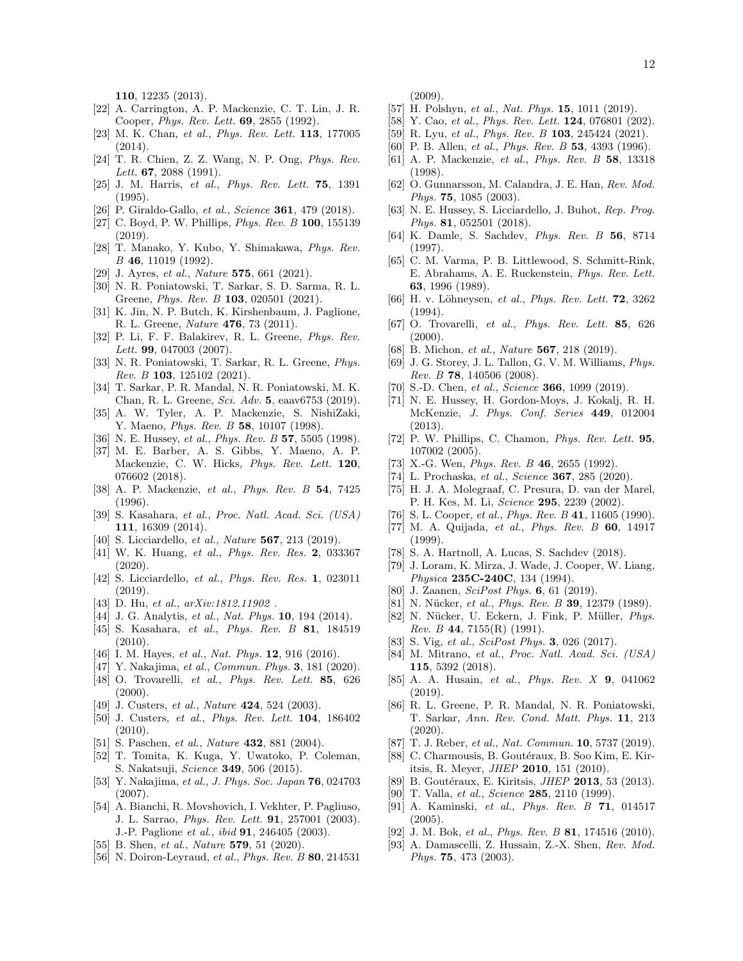110, 12235 (2013).

- <span id="page-11-0"></span>[22] A. Carrington, A. P. Mackenzie, C. T. Lin, J. R. Cooper, *Phys. Rev. Lett.* **69**, 2855 (1992).
- <span id="page-11-1"></span>[23] M. K. Chan, et al., Phys. Rev. Lett. **113**, 177005 (2014).
- <span id="page-11-2"></span>[24] T. R. Chien, Z. Z. Wang, N. P. Ong, Phys. Rev. Lett. **67**, 2088 (1991).
- <span id="page-11-3"></span>[25] J. M. Harris, et al., Phys. Rev. Lett. **75**, 1391  $(1995)$
- <span id="page-11-4"></span>[26] P. Giraldo-Gallo, et al., Science **361**, 479 (2018).
- <span id="page-11-5"></span>[27] C. Boyd, P. W. Phillips, *Phys. Rev. B* **100**, 155139 (2019).
- <span id="page-11-6"></span>[28] T. Manako, Y. Kubo, Y. Shimakawa, Phys. Rev. B 46, 11019 (1992).
- <span id="page-11-7"></span>[29] J. Ayres, et al., Nature 575, 661 (2021).
- <span id="page-11-8"></span>[30] N. R. Poniatowski, T. Sarkar, S. D. Sarma, R. L. Greene, Phys. Rev. B 103, 020501 (2021).
- <span id="page-11-9"></span>[31] K. Jin, N. P. Butch, K. Kirshenbaum, J. Paglione, R. L. Greene, Nature 476, 73 (2011).
- <span id="page-11-10"></span>[32] P. Li, F. F. Balakirev, R. L. Greene, Phys. Rev. Lett. **99.** 047003 (2007).
- <span id="page-11-11"></span>[33] N. R. Poniatowski, T. Sarkar, R. L. Greene, Phys. Rev. B 103, 125102 (2021).
- <span id="page-11-12"></span>[34] T. Sarkar, P. R. Mandal, N. R. Poniatowski, M. K. Chan, R. L. Greene, Sci. Adv. 5, eaav6753 (2019).
- <span id="page-11-13"></span>[35] A. W. Tyler, A. P. Mackenzie, S. NishiZaki, Y. Maeno, *Phys. Rev. B* 58, 10107 (1998).
- <span id="page-11-14"></span>[36] N. E. Hussey, et al., *Phys. Rev. B* 57, 5505 (1998).
- <span id="page-11-15"></span>[37] M. E. Barber, A. S. Gibbs, Y. Maeno, A. P. Mackenzie, C. W. Hicks, Phys. Rev. Lett. 120, 076602 (2018).
- <span id="page-11-16"></span>[38] A. P. Mackenzie, et al., Phys. Rev. B 54, 7425 (1996).
- <span id="page-11-17"></span>[39] S. Kasahara, et al., Proc. Natl. Acad. Sci. (USA) 111, 16309 (2014).
- <span id="page-11-18"></span>[40] S. Licciardello, et al., Nature **567**, 213 (2019).
- <span id="page-11-19"></span>[41] W. K. Huang, et al., Phys. Rev. Res. 2, 033367 (2020).
- <span id="page-11-20"></span>[42] S. Licciardello, *et al., Phys. Rev. Res.* **1**, 023011 (2019).
- <span id="page-11-21"></span>[43] D. Hu, et al.,  $arXiv:1812.11902$ .
- <span id="page-11-22"></span>[44] J. G. Analytis, et al., Nat. Phys. **10**, 194 (2014).
- <span id="page-11-23"></span>[45] S. Kasahara, et al., Phys. Rev. B 81, 184519 (2010).
- <span id="page-11-24"></span>[46] I. M. Hayes, et al., Nat. Phys. **12**, 916 (2016).
- <span id="page-11-26"></span><span id="page-11-25"></span>[47] Y. Nakajima, et al., Commun. Phys. 3, 181 (2020). [48] O. Trovarelli, et al., Phys. Rev. Lett. 85, 626
- $(2000).$
- <span id="page-11-27"></span>[49] J. Custers, et al., Nature **424**, 524 (2003).
- <span id="page-11-28"></span>[50] J. Custers, et al., Phys. Rev. Lett. 104, 186402 (2010).
- <span id="page-11-29"></span>[51] S. Paschen, et al., Nature **432**, 881 (2004).
- <span id="page-11-30"></span>[52] T. Tomita, K. Kuga, Y. Uwatoko, P. Coleman, S. Nakatsuji, Science 349, 506 (2015).
- <span id="page-11-31"></span>[53] Y. Nakajima, et al., J. Phys. Soc. Japan 76, 024703 (2007).
- <span id="page-11-32"></span>[54] A. Bianchi, R. Movshovich, I. Vekhter, P. Pagliuso, J. L. Sarrao, Phys. Rev. Lett. 91, 257001 (2003). J.-P. Paglione et al., ibid 91, 246405 (2003).
- <span id="page-11-33"></span>[55] B. Shen, *et al.*, *Nature* **579**, 51 (2020).
- <span id="page-11-34"></span>[56] N. Doiron-Leyraud, et al., Phys. Rev. B **80**, 214531

(2009).

- <span id="page-11-35"></span>[57] H. Polshyn, et al., Nat. Phys. **15**, 1011 (2019).
- <span id="page-11-36"></span>[58] Y. Cao, et al., Phys. Rev. Lett. **124**, 076801 (202).
- <span id="page-11-37"></span>[59] R. Lyu, et al., *Phys. Rev. B* 103, 245424 (2021).
- <span id="page-11-38"></span>[60] P. B. Allen, et al., *Phys. Rev. B* 53, 4393 (1996).
- <span id="page-11-39"></span>[61] A. P. Mackenzie, et al., Phys. Rev. B 58, 13318 (1998).
- <span id="page-11-40"></span>[62] O. Gunnarsson, M. Calandra, J. E. Han, Rev. Mod. Phys. 75, 1085 (2003).
- <span id="page-11-41"></span>[63] N. E. Hussey, S. Licciardello, J. Buhot, Rep. Prog. Phys. 81, 052501 (2018).
- <span id="page-11-42"></span>[64] K. Damle, S. Sachdev, Phys. Rev. B 56, 8714 (1997).
- <span id="page-11-43"></span>[65] C. M. Varma, P. B. Littlewood, S. Schmitt-Rink, E. Abrahams, A. E. Ruckenstein, Phys. Rev. Lett. 63, 1996 (1989).
- <span id="page-11-44"></span>[66] H. v. Löhneysen, et al., Phys. Rev. Lett. 72, 3262  $(1994)$
- <span id="page-11-45"></span>[67] O. Trovarelli, et al., Phys. Rev. Lett. 85, 626  $(2000)$ .
- <span id="page-11-46"></span>[68] B. Michon, et al., Nature **567**, 218 (2019).
- <span id="page-11-47"></span>[69] J. G. Storey, J. L. Tallon, G. V. M. Williams, Phys. Rev. B 78, 140506 (2008).
- <span id="page-11-48"></span>[70] S.-D. Chen, et al., Science  $366$ , 1099 (2019).
- <span id="page-11-49"></span>[71] N. E. Hussey, H. Gordon-Moys, J. Kokalj, R. H. McKenzie, J. Phys. Conf. Series 449, 012004 (2013).
- <span id="page-11-50"></span>[72] P. W. Phillips, C. Chamon, Phys. Rev. Lett. 95, 107002 (2005).
- <span id="page-11-51"></span>[73] X.-G. Wen, *Phys. Rev. B* 46, 2655 (1992).
- <span id="page-11-52"></span>[74] L. Prochaska, et al., Science **367**, 285 (2020).
- <span id="page-11-53"></span>[75] H. J. A. Molegraaf, C. Presura, D. van der Marel, P. H. Kes, M. Li, Science 295, 2239 (2002).
- <span id="page-11-54"></span>[76] S. L. Cooper, et al., *Phys. Rev. B* 41, 11605 (1990).
- <span id="page-11-55"></span>[77] M. A. Quijada, et al., Phys. Rev. B 60, 14917 (1999).
- <span id="page-11-56"></span>[78] S. A. Hartnoll, A. Lucas, S. Sachdev (2018).
- <span id="page-11-57"></span>[79] J. Loram, K. Mirza, J. Wade, J. Cooper, W. Liang, Physica 235C-240C, 134 (1994).
- <span id="page-11-58"></span>[80] J. Zaanen,  $SciPost$  Phys. 6, 61 (2019).
- <span id="page-11-59"></span>[81] N. Nücker, et al., Phys. Rev. B 39, 12379 (1989).
- <span id="page-11-60"></span>[82] N. Nücker, U. Eckern, J. Fink, P. Müller, Phys. Rev. B 44, 7155 $(R)$  (1991).
- <span id="page-11-61"></span>[83] S. Vig, et al., SciPost Phys. 3, 026 (2017).
- <span id="page-11-70"></span>[84] M. Mitrano, et al., Proc. Natl. Acad. Sci. (USA) 115, 5392 (2018).
- <span id="page-11-62"></span>[85] A. A. Husain, et al., Phys. Rev. X 9, 041062 (2019).
- <span id="page-11-63"></span>[86] R. L. Greene, P. R. Mandal, N. R. Poniatowski, T. Sarkar, Ann. Rev. Cond. Matt. Phys. 11, 213 (2020).
- <span id="page-11-64"></span>[87] T. J. Reber, et al., Nat. Commun. **10**, 5737 (2019).
- <span id="page-11-65"></span>[88] C. Charmousis, B. Goutéraux, B. Soo Kim, E. Kir-
- itsis, R. Meyer, JHEP 2010, 151 (2010).
- <span id="page-11-66"></span>[89] B. Goutéraux, E. Kiritsis, *JHEP* 2013, 53 (2013).
- <span id="page-11-67"></span>[90] T. Valla, et al., Science 285, 2110 (1999).
- <span id="page-11-68"></span>[91] A. Kaminski, et al., Phys. Rev. B 71, 014517 (2005).
- [92] J. M. Bok, et al., Phys. Rev. B 81, 174516 (2010).
- <span id="page-11-69"></span>[93] A. Damascelli, Z. Hussain, Z.-X. Shen, Rev. Mod. Phys. 75, 473 (2003).